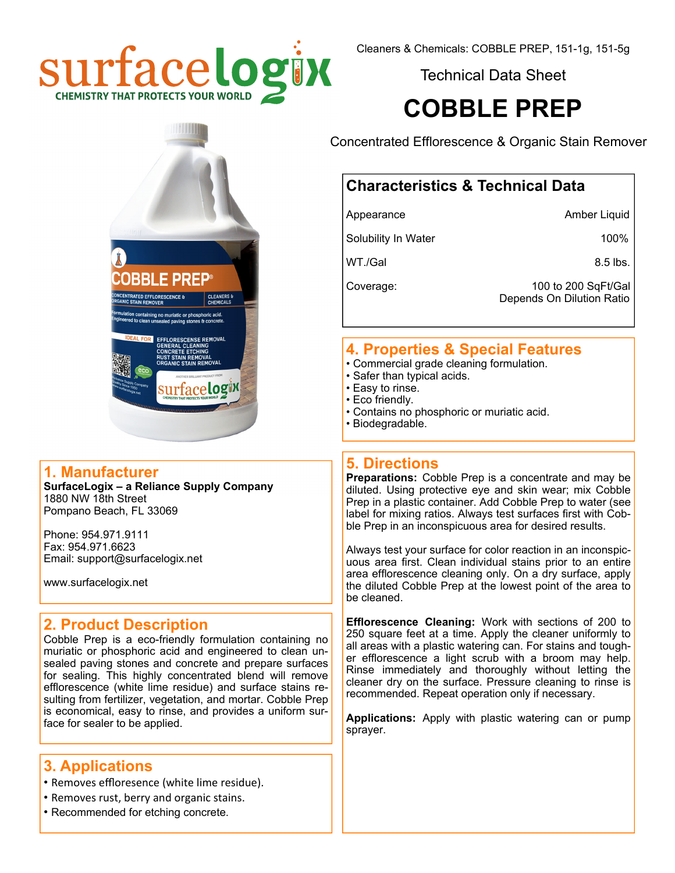

Technical Data Sheet

# **COBBLE PREP**

**BLE PREP**® ning no muriatic or phosphoric acid<br>I unsealed paving stones & concret EFFLORESCENSE REMOVAL surface**logix** 

#### **1. Manufacturer**

**SurfaceLogix – a Reliance Supply Company**  1880 NW 18th Street Pompano Beach, FL 33069

Phone: 954.971.9111 Fax: 954.971.6623 Email: support@surfacelogix.net

www.surfacelogix.net

## **2. Product Description**

Cobble Prep is a eco-friendly formulation containing no muriatic or phosphoric acid and engineered to clean unsealed paving stones and concrete and prepare surfaces for sealing. This highly concentrated blend will remove efflorescence (white lime residue) and surface stains resulting from fertilizer, vegetation, and mortar. Cobble Prep is economical, easy to rinse, and provides a uniform surface for sealer to be applied.

## **3. Applications**

- Removes effloresence (white lime residue).
- Removes rust, berry and organic stains.
- Recommended for etching concrete.

Concentrated Efflorescence & Organic Stain Remover

# **Characteristics & Technical Data**

Appearance **Amber Liquid** Amber Liquid

Solubility In Water 100%

 $WT./Gal$  8.5 lbs.

Coverage: 100 to 200 SqFt/Gal Depends On Dilution Ratio

## **4. Properties & Special Features**

- Commercial grade cleaning formulation.
- Safer than typical acids.
- Easy to rinse.
- Eco friendly.
- Contains no phosphoric or muriatic acid.
- Biodegradable.

## **5. Directions**

**Preparations:** Cobble Prep is a concentrate and may be diluted. Using protective eye and skin wear; mix Cobble Prep in a plastic container. Add Cobble Prep to water (see label for mixing ratios. Always test surfaces first with Cobble Prep in an inconspicuous area for desired results.

Always test your surface for color reaction in an inconspicuous area first. Clean individual stains prior to an entire area efflorescence cleaning only. On a dry surface, apply the diluted Cobble Prep at the lowest point of the area to be cleaned.

**Efflorescence Cleaning:** Work with sections of 200 to 250 square feet at a time. Apply the cleaner uniformly to all areas with a plastic watering can. For stains and tougher efflorescence a light scrub with a broom may help. Rinse immediately and thoroughly without letting the cleaner dry on the surface. Pressure cleaning to rinse is recommended. Repeat operation only if necessary.

**Applications:** Apply with plastic watering can or pump sprayer.